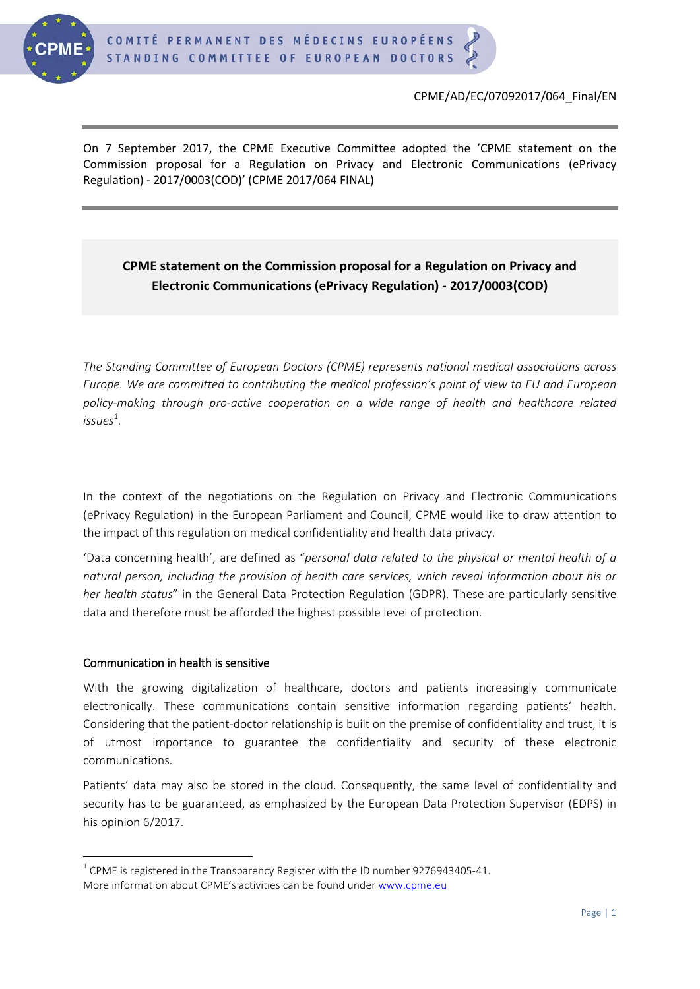

## CPME/AD/EC/07092017/064\_Final/EN

On 7 September 2017, the CPME Executive Committee adopted the 'CPME statement on the Commission proposal for a Regulation on Privacy and Electronic Communications (ePrivacy Regulation) - 2017/0003(COD)' (CPME 2017/064 FINAL)

# **CPME statement on the Commission proposal for a Regulation on Privacy and Electronic Communications (ePrivacy Regulation) - 2017/0003(COD)**

*The Standing Committee of European Doctors (CPME) represents national medical associations across Europe. We are committed to contributing the medical profession's point of view to EU and European policy-making through pro-active cooperation on a wide range of health and healthcare related issues[1](#page-0-0) .*

In the context of the negotiations on the Regulation on Privacy and Electronic Communications (ePrivacy Regulation) in the European Parliament and Council, CPME would like to draw attention to the impact of this regulation on medical confidentiality and health data privacy.

'Data concerning health', are defined as "*personal data related to the physical or mental health of a natural person, including the provision of health care services, which reveal information about his or her health status*" in the General Data Protection Regulation (GDPR). These are particularly sensitive data and therefore must be afforded the highest possible level of protection.

# Communication in health is sensitive

With the growing digitalization of healthcare, doctors and patients increasingly communicate electronically. These communications contain sensitive information regarding patients' health. Considering that the patient-doctor relationship is built on the premise of confidentiality and trust, it is of utmost importance to guarantee the confidentiality and security of these electronic communications.

Patients' data may also be stored in the cloud. Consequently, the same level of confidentiality and security has to be guaranteed, as emphasized by the European Data Protection Supervisor (EDPS) in his opinion 6/2017.

<span id="page-0-0"></span> $1$  CPME is registered in the Transparency Register with the ID number 9276943405-41. More information about CPME's activities can be found under [www.cpme.eu](http://www.cpme.eu/)